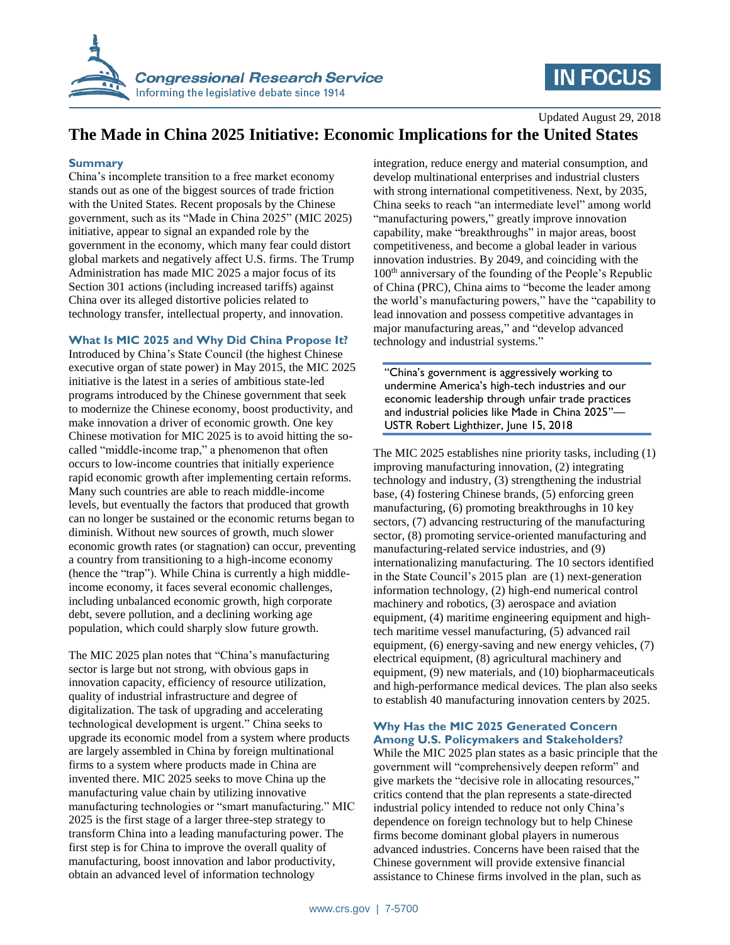

# **IN FOCUS**

Updated August 29, 2018 **The Made in China 2025 Initiative: Economic Implications for the United States**

### **Summary**

China's incomplete transition to a free market economy stands out as one of the biggest sources of trade friction with the United States. Recent proposals by the Chinese government, such as its "Made in China 2025" (MIC 2025) initiative, appear to signal an expanded role by the government in the economy, which many fear could distort global markets and negatively affect U.S. firms. The Trump Administration has made MIC 2025 a major focus of its Section 301 actions (including increased tariffs) against China over its alleged distortive policies related to technology transfer, intellectual property, and innovation.

# **What Is MIC 2025 and Why Did China Propose It?**

Introduced by China's State Council (the highest Chinese executive organ of state power) in May 2015, the MIC 2025 initiative is the latest in a series of ambitious state-led programs introduced by the Chinese government that seek to modernize the Chinese economy, boost productivity, and make innovation a driver of economic growth. One key Chinese motivation for MIC 2025 is to avoid hitting the socalled "middle-income trap," a phenomenon that often occurs to low-income countries that initially experience rapid economic growth after implementing certain reforms. Many such countries are able to reach middle-income levels, but eventually the factors that produced that growth can no longer be sustained or the economic returns began to diminish. Without new sources of growth, much slower economic growth rates (or stagnation) can occur, preventing a country from transitioning to a high-income economy (hence the "trap"). While China is currently a high middleincome economy, it faces several economic challenges, including unbalanced economic growth, high corporate debt, severe pollution, and a declining working age population, which could sharply slow future growth.

The MIC 2025 plan notes that "China's manufacturing sector is large but not strong, with obvious gaps in innovation capacity, efficiency of resource utilization, quality of industrial infrastructure and degree of digitalization. The task of upgrading and accelerating technological development is urgent." China seeks to upgrade its economic model from a system where products are largely assembled in China by foreign multinational firms to a system where products made in China are invented there. MIC 2025 seeks to move China up the manufacturing value chain by utilizing innovative manufacturing technologies or "smart manufacturing." MIC 2025 is the first stage of a larger three-step strategy to transform China into a leading manufacturing power. The first step is for China to improve the overall quality of manufacturing, boost innovation and labor productivity, obtain an advanced level of information technology

integration, reduce energy and material consumption, and develop multinational enterprises and industrial clusters with strong international competitiveness. Next, by 2035, China seeks to reach "an intermediate level" among world "manufacturing powers," greatly improve innovation capability, make "breakthroughs" in major areas, boost competitiveness, and become a global leader in various innovation industries. By 2049, and coinciding with the 100th anniversary of the founding of the People's Republic of China (PRC), China aims to "become the leader among the world's manufacturing powers," have the "capability to lead innovation and possess competitive advantages in major manufacturing areas," and "develop advanced technology and industrial systems."

"China's government is aggressively working to undermine America's high-tech industries and our economic leadership through unfair trade practices and industrial policies like Made in China 2025"— USTR Robert Lighthizer, June 15, 2018

The MIC 2025 establishes nine priority tasks, including (1) improving manufacturing innovation, (2) integrating technology and industry, (3) strengthening the industrial base, (4) fostering Chinese brands, (5) enforcing green manufacturing, (6) promoting breakthroughs in 10 key sectors, (7) advancing restructuring of the manufacturing sector, (8) promoting service-oriented manufacturing and manufacturing-related service industries, and (9) internationalizing manufacturing. The 10 sectors identified in the State Council's 2015 plan are (1) next-generation information technology, (2) high-end numerical control machinery and robotics, (3) aerospace and aviation equipment, (4) maritime engineering equipment and hightech maritime vessel manufacturing, (5) advanced rail equipment, (6) energy-saving and new energy vehicles, (7) electrical equipment, (8) agricultural machinery and equipment, (9) new materials, and (10) biopharmaceuticals and high-performance medical devices. The plan also seeks to establish 40 manufacturing innovation centers by 2025.

### **Why Has the MIC 2025 Generated Concern Among U.S. Policymakers and Stakeholders?**

While the MIC 2025 plan states as a basic principle that the government will "comprehensively deepen reform" and give markets the "decisive role in allocating resources," critics contend that the plan represents a state-directed industrial policy intended to reduce not only China's dependence on foreign technology but to help Chinese firms become dominant global players in numerous advanced industries. Concerns have been raised that the Chinese government will provide extensive financial assistance to Chinese firms involved in the plan, such as